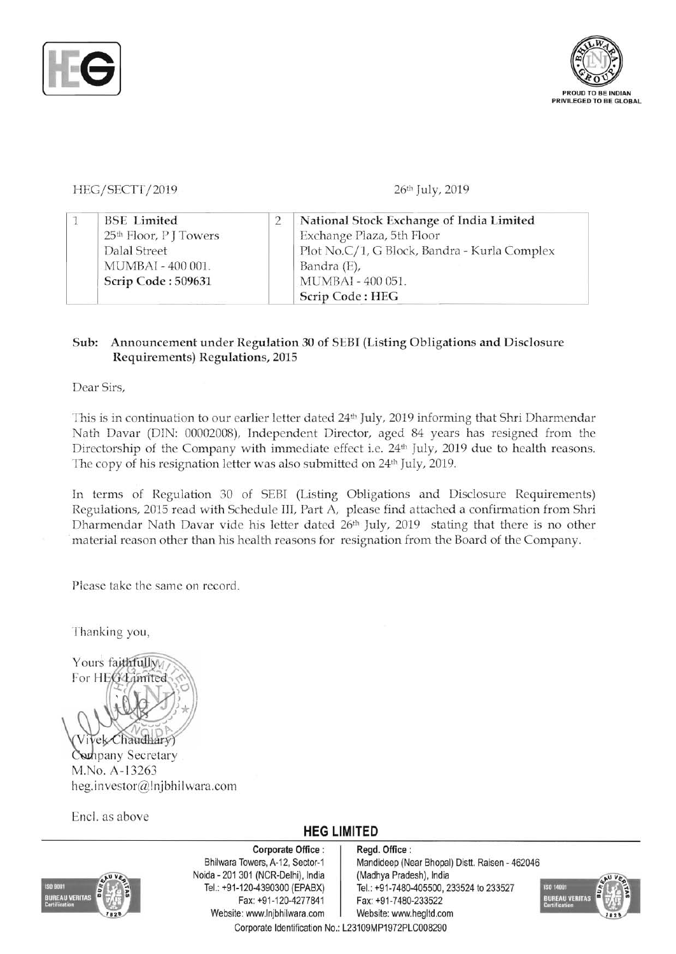



## HEG/SECTT/2019 26th July, 2019

|  | <b>BSE</b> Limited                 | National Stock Exchange of India Limited     |
|--|------------------------------------|----------------------------------------------|
|  | 25 <sup>th</sup> Floor, P J Towers | Exchange Plaza, 5th Floor                    |
|  | Dalal Street                       | Plot No.C/1, G Block, Bandra - Kurla Complex |
|  | MUMBAI - 400 001.                  | Bandra (E),                                  |
|  | Scrip Code: 509631                 | MUMBAI - 400 051.                            |
|  |                                    | Scrip Code: HEG                              |

#### Sub: Announcement under Regulation 30 of SEBI (Listing Obligations and Disclosure Requirements) Regulations, 2015

Dear Sirs,

This is in continuation to our earlier letter dated 24<sup>th</sup> July, 2019 informing that Shri Dharmendar Nath Davar (DIN: 00002008), Independent Director, aged 84 years has resigned from the Directorship of the Company with immediate effect i.e. 24<sup>th</sup> July, 2019 due to health reasons. The copy of his resignation letter was also submitted on 24<sup>th</sup> July, 2019.

In terms of Regulation 30 of SEBI (Listing Obligations and Disclosure Requirements) Regulations, 2015 read with Schedule III, Part A, please find attached a confirmation from Shri Dharmendar Nath Davar vide his letter dated 26<sup>th</sup> July, 2019 stating that there is no other .material reason other than his health reasons for resignation from the Board of the Company.

Please take the same on record.

Thanking you,



Company Secretary M.No. A-13263 heg.investor@lnjbhilwara.com

Enc!. as above

## **HEG LIMITED**



Corporate Office: | Regd. Office: Noida - 201 301 (NCR-Delhi), India (Madhya Pradesh), India Fax: +91-120-4277841 Fax: +91-7480-233522 Website: www.lnjbhilwara.com | Website: www.hegltd.com Corporate Identification No.: L23109MP1972PLC008290

Bhilwara Towers, A-12, Sector-1 | Mandideep (Near Bhopal) Distt. Raisen - 462046 Tel.: +91-120-4390300 (EPABX) Tel.: +91-7480-405500, 233524 to 233527